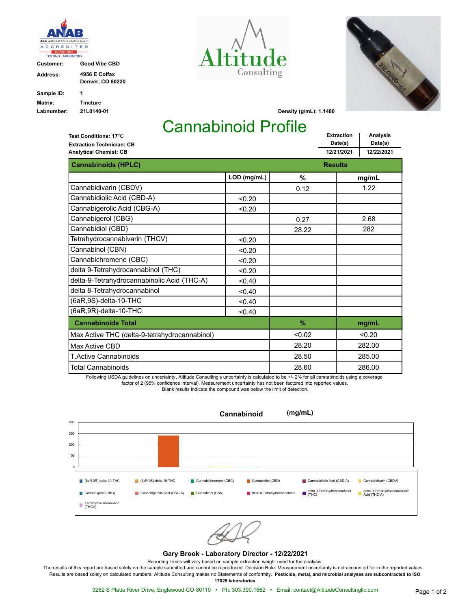

**Customer: Good Vibe CBD**

| Address:   | 4956 E Colfax<br><b>Denver, CO 80220</b> |
|------------|------------------------------------------|
| Sample ID: | 1                                        |
| Matrix:    | <b>Tincture</b>                          |
| Labnumber: | 21L0140-01                               |





**Density (g/mL): 1.1480**

**Extraction**

## Cannabinoid Profile

**Date(s) Analysis Date(s) 12/21/2021 12/22/2021 Extraction Technician: CB Analytical Chemist: CB Test Conditions: 17**°C **Cannabinoids (HPLC) Results Results Results LOD (mg/mL) % mg/mL** Cannabidivarin (CBDV) **1.22** 1.22 Cannabidiolic Acid (CBD-A)  $\sim$  0.20 Cannabigerolic Acid (CBG-A)  $\vert$  <0.20 Cannabigerol (CBG) **0.27** 2.68 Cannabidiol (CBD) 28.22 282 Tetrahydrocannabivarin (THCV)  $\vert$  <0.20 Cannabinol (CBN)  $\sim$  0.20 Cannabichromene (CBC)  $|$  <0.20 delta 9-Tetrahydrocannabinol (THC) <0.20 delta-9-Tetrahydrocannabinolic Acid (THC-A)  $\frac{1}{\sqrt{0.40}}$ delta 8-Tetrahydrocannabinol  $\vert$  <0.40  $(6aR, 9S)$ -delta-10-THC  $\qquad \qquad \begin{array}{c} \big| \qquad < 0.40 \end{array}$  $(6aR, 9R)$ -delta-10-THC  $\qquad \qquad \begin{array}{c} \sim 0.40 \end{array}$ **Cannabinoids Total % mg/mL** Total Cannabinoids T.Active Cannabinoids Max Active CBD <0.02 28.60 28.50 28.20  $< 0.20$ 286.00 285.00 282.00 Max Active THC (delta-9-tetrahydrocannabinol)

Following USDA guidelines on uncertainty, Altitude Consulting's uncertainty is calculated to be +/- 2% for all cannabinoids using a coverage factor of 2 (95% confidence interval). Measurement uncertainty has not been factored into reported values. Blank results indicate the compound was below the limit of detection.



## **Gary Brook - Laboratory Director - 12/22/2021**

Reporting Limits will vary based on sample extraction weight used for the analysis.

The results of this report are based solely on the sample submitted and cannot be reproduced. Decision Rule: Measurement uncertainty is not accounted for in the reported values. Results are based solely on calculated numbers. Altitude Consulting makes no Statements of conformity. **Pesticide, metal, and microbial analyses are subcontracted to ISO** 

**17025 laboratories.**